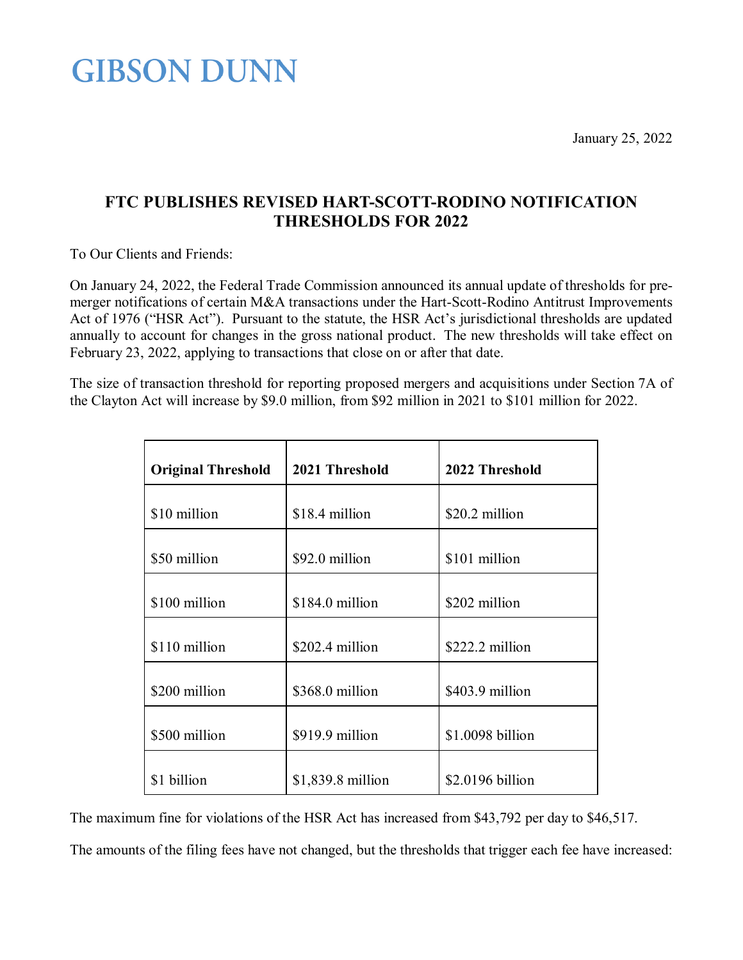**GIBSON DUNN** 

January 25, 2022

## **FTC PUBLISHES REVISED HART-SCOTT-RODINO NOTIFICATION THRESHOLDS FOR 2022**

To Our Clients and Friends:

On January 24, 2022, the Federal Trade Commission announced its annual update of thresholds for premerger notifications of certain M&A transactions under the Hart-Scott-Rodino Antitrust Improvements Act of 1976 ("HSR Act"). Pursuant to the statute, the HSR Act's jurisdictional thresholds are updated annually to account for changes in the gross national product. The new thresholds will take effect on February 23, 2022, applying to transactions that close on or after that date.

The size of transaction threshold for reporting proposed mergers and acquisitions under Section 7A of the Clayton Act will increase by \$9.0 million, from \$92 million in 2021 to \$101 million for 2022.

| <b>Original Threshold</b> | 2021 Threshold     | 2022 Threshold   |
|---------------------------|--------------------|------------------|
| \$10 million              | \$18.4 million     | \$20.2 million   |
| \$50 million              | \$92.0 million     | \$101 million    |
| \$100 million             | \$184.0 million    | \$202 million    |
| \$110 million             | $$202.4$ million   | $$222.2$ million |
| \$200 million             | \$368.0 million    | \$403.9 million  |
| \$500 million             | \$919.9 million    | \$1.0098 billion |
| \$1 billion               | $$1,839.8$ million | \$2.0196 billion |

The maximum fine for violations of the HSR Act has increased from \$43,792 per day to \$46,517.

The amounts of the filing fees have not changed, but the thresholds that trigger each fee have increased: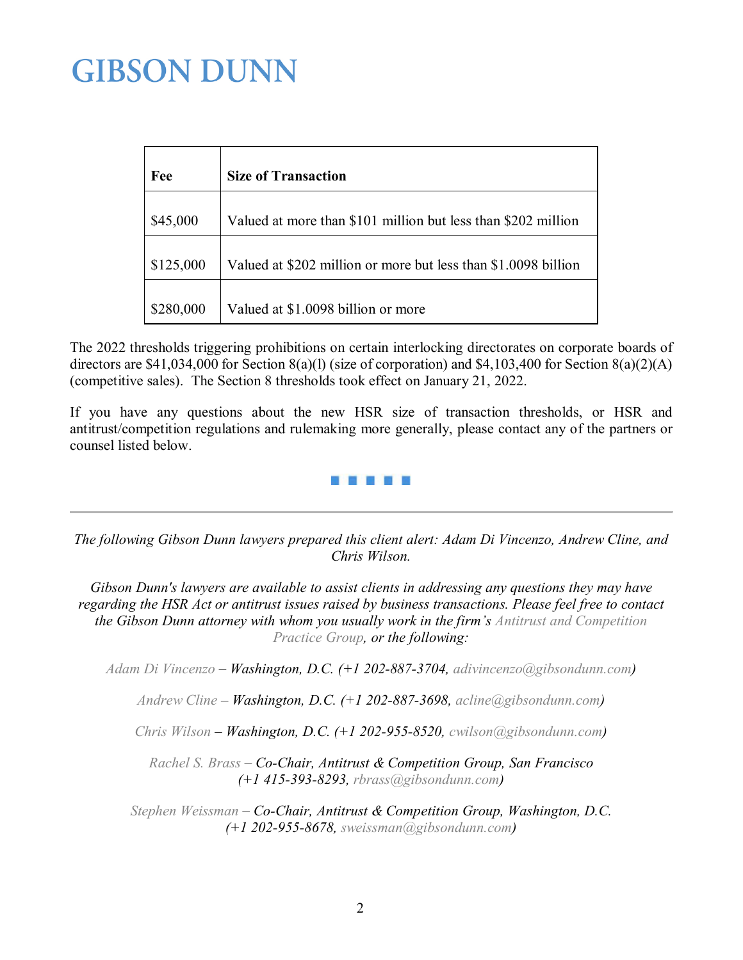## **GIBSON DUNN**

| Fee       | <b>Size of Transaction</b>                                     |
|-----------|----------------------------------------------------------------|
| \$45,000  | Valued at more than \$101 million but less than \$202 million  |
| \$125,000 | Valued at \$202 million or more but less than \$1.0098 billion |
| \$280,000 | Valued at \$1.0098 billion or more                             |

The 2022 thresholds triggering prohibitions on certain interlocking directorates on corporate boards of directors are \$41,034,000 for Section 8(a)(l) (size of corporation) and \$4,103,400 for Section 8(a)(2)(A) (competitive sales). The Section 8 thresholds took effect on January 21, 2022.

If you have any questions about the new HSR size of transaction thresholds, or HSR and antitrust/competition regulations and rulemaking more generally, please contact any of the partners or counsel listed below.



*The following Gibson Dunn lawyers prepared this client alert: Adam Di Vincenzo, Andrew Cline, and Chris Wilson.*

*Gibson Dunn's lawyers are available to assist clients in addressing any questions they may have regarding the HSR Act or antitrust issues raised by business transactions. Please feel free to contact the Gibson Dunn attorney with whom you usually work in the firm's [Antitrust and Competition](https://www.gibsondunn.com/practices/pages/ATR.aspx)  [Practice Group,](https://www.gibsondunn.com/practices/pages/ATR.aspx) or the following:*

*Adam Di [Vincenzo](http://gibsondunn.com/lawyers/adivincenzo) – Washington, D.C. (+1 202-887-3704, [adivincenzo@gibsondunn.com\)](mailto:adivincenzo@gibsondunn.com)*

*[Andrew Cline](https://www.gibsondunn.com/lawyer/cline-andrew/) – Washington, D.C. (+1 202-887-3698, [acline@gibsondunn.com\)](mailto:acline@gibsondunn.com)*

*[Chris Wilson](https://www.gibsondunn.com/lawyer/wilson-chris/) – Washington, D.C. (+1 202-955-8520, [cwilson@gibsondunn.com\)](mailto:cwilson@gibsondunn.com)*

*[Rachel S. Brass](http://gibsondunn.com/lawyers/rbrass) – Co-Chair, Antitrust & Competition Group, San Francisco (+1 415-393-8293, [rbrass@gibsondunn.com\)](mailto:rbrass@gibsondunn.com)*

*[Stephen Weissman](https://www.gibsondunn.com/lawyer/weissman-stephen/) – Co-Chair, Antitrust & Competition Group, Washington, D.C. (+1 202-955-8678, [sweissman@gibsondunn.com\)](mailto:sweissman@gibsondunn.com)*